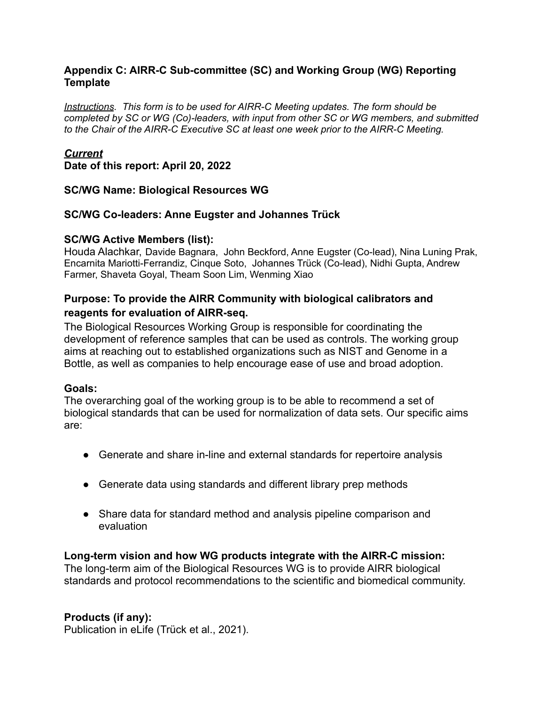### **Appendix C: AIRR-C Sub-committee (SC) and Working Group (WG) Reporting Template**

*Instructions. This form is to be used for AIRR-C Meeting updates. The form should be completed by SC or WG (Co)-leaders, with input from other SC or WG members, and submitted to the Chair of the AIRR-C Executive SC at least one week prior to the AIRR-C Meeting.*

#### *Current*

**Date of this report: April 20, 2022**

### **SC/WG Name: Biological Resources WG**

### **SC/WG Co-leaders: Anne Eugster and Johannes Trück**

#### **SC/WG Active Members (list):**

Houda Alachkar, Davide Bagnara, John Beckford, Anne Eugster (Co-lead), Nina Luning Prak, Encarnita Mariotti-Ferrandiz, Cinque Soto, Johannes Trück (Co-lead), Nidhi Gupta, Andrew Farmer, Shaveta Goyal, Theam Soon Lim, Wenming Xiao

## **Purpose: To provide the AIRR Community with biological calibrators and reagents for evaluation of AIRR-seq.**

The Biological Resources Working Group is responsible for coordinating the development of reference samples that can be used as controls. The working group aims at reaching out to established organizations such as NIST and Genome in a Bottle, as well as companies to help encourage ease of use and broad adoption.

### **Goals:**

The overarching goal of the working group is to be able to recommend a set of biological standards that can be used for normalization of data sets. Our specific aims are:

- Generate and share in-line and external standards for repertoire analysis
- Generate data using standards and different library prep methods
- Share data for standard method and analysis pipeline comparison and evaluation

### **Long-term vision and how WG products integrate with the AIRR-C mission:**

The long-term aim of the Biological Resources WG is to provide AIRR biological standards and protocol recommendations to the scientific and biomedical community.

### **Products (if any):**

Publication in eLife (Trück et al., 2021).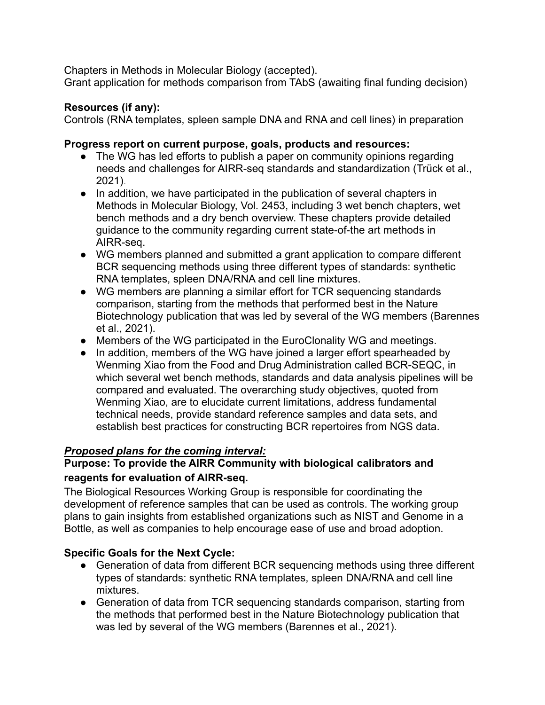Chapters in Methods in Molecular Biology (accepted).

Grant application for methods comparison from TAbS (awaiting final funding decision)

## **Resources (if any):**

Controls (RNA templates, spleen sample DNA and RNA and cell lines) in preparation

## **Progress report on current purpose, goals, products and resources:**

- The WG has led efforts to publish a paper on community opinions regarding needs and challenges for AIRR-seg standards and standardization (Trück et al., 2021).
- In addition, we have participated in the publication of several chapters in Methods in Molecular Biology, Vol. 2453, including 3 wet bench chapters, wet bench methods and a dry bench overview. These chapters provide detailed guidance to the community regarding current state-of-the art methods in AIRR-seq.
- WG members planned and submitted a grant application to compare different BCR sequencing methods using three different types of standards: synthetic RNA templates, spleen DNA/RNA and cell line mixtures.
- WG members are planning a similar effort for TCR sequencing standards comparison, starting from the methods that performed best in the Nature Biotechnology publication that was led by several of the WG members (Barennes et al., 2021).
- Members of the WG participated in the EuroClonality WG and meetings.
- In addition, members of the WG have joined a larger effort spearheaded by Wenming Xiao from the Food and Drug Administration called BCR-SEQC, in which several wet bench methods, standards and data analysis pipelines will be compared and evaluated. The overarching study objectives, quoted from Wenming Xiao, are to elucidate current limitations, address fundamental technical needs, provide standard reference samples and data sets, and establish best practices for constructing BCR repertoires from NGS data.

# *Proposed plans for the coming interval:*

## **Purpose: To provide the AIRR Community with biological calibrators and reagents for evaluation of AIRR-seq.**

The Biological Resources Working Group is responsible for coordinating the development of reference samples that can be used as controls. The working group plans to gain insights from established organizations such as NIST and Genome in a Bottle, as well as companies to help encourage ease of use and broad adoption.

# **Specific Goals for the Next Cycle:**

- Generation of data from different BCR sequencing methods using three different types of standards: synthetic RNA templates, spleen DNA/RNA and cell line mixtures.
- Generation of data from TCR sequencing standards comparison, starting from the methods that performed best in the Nature Biotechnology publication that was led by several of the WG members (Barennes et al., 2021).